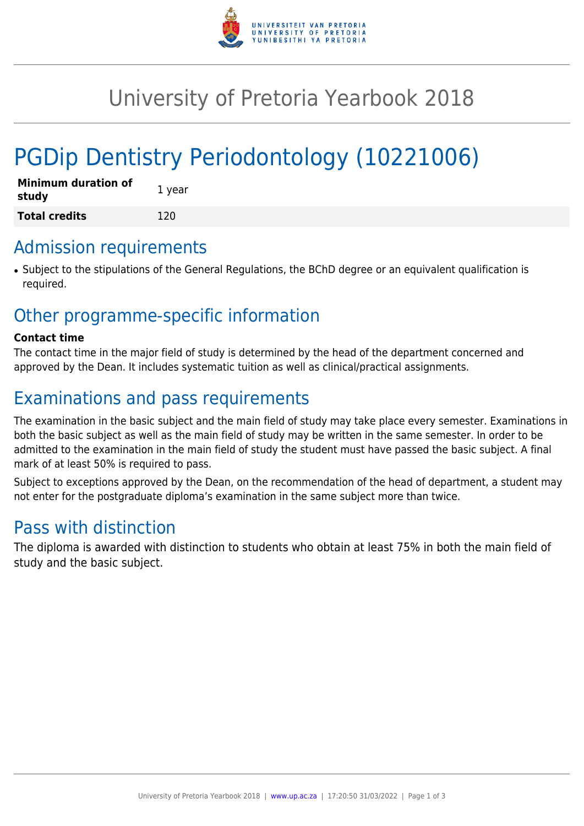

# University of Pretoria Yearbook 2018

# PGDip Dentistry Periodontology (10221006)

| <b>Minimum duration of</b><br>study | 1 year |
|-------------------------------------|--------|
| <b>Total credits</b>                | 120    |

# Admission requirements

● Subject to the stipulations of the General Regulations, the BChD degree or an equivalent qualification is required.

# Other programme-specific information

#### **Contact time**

The contact time in the major field of study is determined by the head of the department concerned and approved by the Dean. It includes systematic tuition as well as clinical/practical assignments.

# Examinations and pass requirements

The examination in the basic subject and the main field of study may take place every semester. Examinations in both the basic subject as well as the main field of study may be written in the same semester. In order to be admitted to the examination in the main field of study the student must have passed the basic subject. A final mark of at least 50% is required to pass.

Subject to exceptions approved by the Dean, on the recommendation of the head of department, a student may not enter for the postgraduate diploma's examination in the same subject more than twice.

# Pass with distinction

The diploma is awarded with distinction to students who obtain at least 75% in both the main field of study and the basic subject.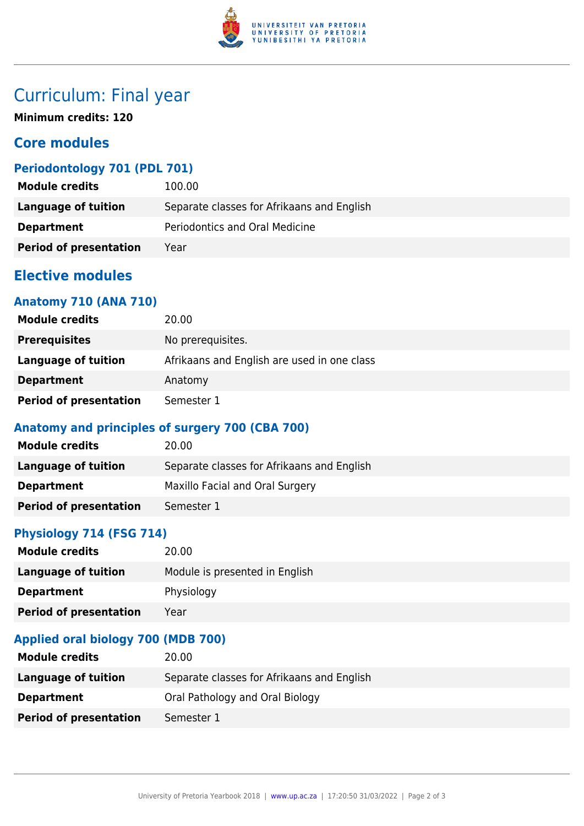

# Curriculum: Final year

**Minimum credits: 120**

## **Core modules**

## **Periodontology 701 (PDL 701)**

| <b>Module credits</b>         | 100.00                                     |
|-------------------------------|--------------------------------------------|
| Language of tuition           | Separate classes for Afrikaans and English |
| <b>Department</b>             | Periodontics and Oral Medicine             |
| <b>Period of presentation</b> | Year                                       |

## **Elective modules**

#### **Anatomy 710 (ANA 710)**

| <b>Module credits</b>         | 20.00                                       |
|-------------------------------|---------------------------------------------|
| <b>Prerequisites</b>          | No prerequisites.                           |
| Language of tuition           | Afrikaans and English are used in one class |
| <b>Department</b>             | Anatomy                                     |
| <b>Period of presentation</b> | Semester 1                                  |

### **Anatomy and principles of surgery 700 (CBA 700)**

| <b>Module credits</b>         | 20.00                                      |
|-------------------------------|--------------------------------------------|
| Language of tuition           | Separate classes for Afrikaans and English |
| <b>Department</b>             | Maxillo Facial and Oral Surgery            |
| <b>Period of presentation</b> | Semester 1                                 |

## **Physiology 714 (FSG 714)**

| <b>Module credits</b>         | 20.00                          |
|-------------------------------|--------------------------------|
| Language of tuition           | Module is presented in English |
| <b>Department</b>             | Physiology                     |
| <b>Period of presentation</b> | Year                           |

### **Applied oral biology 700 (MDB 700)**

| <b>Module credits</b>         | 20.00                                      |
|-------------------------------|--------------------------------------------|
| Language of tuition           | Separate classes for Afrikaans and English |
| <b>Department</b>             | Oral Pathology and Oral Biology            |
| <b>Period of presentation</b> | Semester 1                                 |